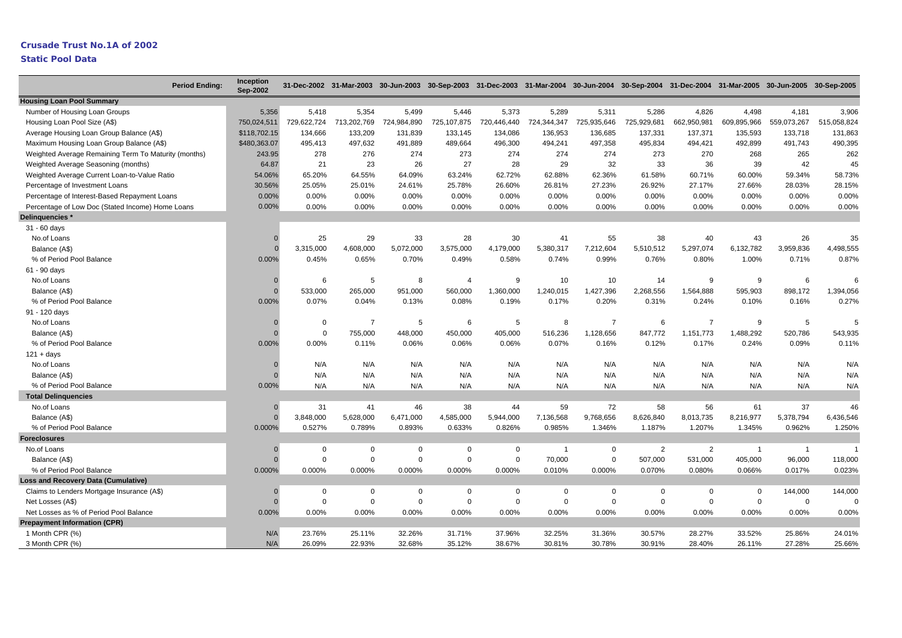| <b>Period Ending:</b>                                | Inception<br><b>Sep-2002</b> |             |                |                | 31-Dec-2002 31-Mar-2003 30-Jun-2003 30-Sep-2003 31-Dec-2003 31-Mar-2004 30-Jun-2004 30-Sep-2004 31-Dec-2004 31-Mar-2005 30-Jun-2005 30-Sep-2005 |             |             |                |             |                |                |                |             |
|------------------------------------------------------|------------------------------|-------------|----------------|----------------|-------------------------------------------------------------------------------------------------------------------------------------------------|-------------|-------------|----------------|-------------|----------------|----------------|----------------|-------------|
| <b>Housing Loan Pool Summary</b>                     |                              |             |                |                |                                                                                                                                                 |             |             |                |             |                |                |                |             |
| Number of Housing Loan Groups                        | 5,356                        | 5,418       | 5,354          | 5,499          | 5,446                                                                                                                                           | 5,373       | 5,289       | 5,311          | 5,286       | 4,826          | 4,498          | 4,181          | 3,906       |
| Housing Loan Pool Size (A\$)                         | 750,024,511                  | 729,622,724 | 713,202,769    | 724,984,890    | 725,107,875                                                                                                                                     | 720,446,440 | 724,344,347 | 725,935,646    | 725,929,681 | 662,950,981    | 609,895,966    | 559,073,267    | 515,058,824 |
| Average Housing Loan Group Balance (A\$)             | \$118,702.15                 | 134,666     | 133,209        | 131.839        | 133.145                                                                                                                                         | 134,086     | 136.953     | 136,685        | 137,331     | 137,371        | 135,593        | 133,718        | 131,863     |
| Maximum Housing Loan Group Balance (A\$)             | \$480,363.07                 | 495,413     | 497,632        | 491,889        | 489,664                                                                                                                                         | 496,300     | 494,241     | 497,358        | 495,834     | 494,421        | 492,899        | 491,743        | 490,395     |
| Weighted Average Remaining Term To Maturity (months) | 243.95                       | 278         | 276            | 274            | 273                                                                                                                                             | 274         | 274         | 274            | 273         | 270            | 268            | 265            | 262         |
| Weighted Average Seasoning (months)                  | 64.87                        | 21          | 23             | 26             | 27                                                                                                                                              | 28          | 29          | 32             | 33          | 36             | 39             | 42             | 45          |
| Weighted Average Current Loan-to-Value Ratio         | 54.06%                       | 65.20%      | 64.55%         | 64.09%         | 63.24%                                                                                                                                          | 62.72%      | 62.88%      | 62.36%         | 61.58%      | 60.71%         | 60.00%         | 59.34%         | 58.73%      |
| Percentage of Investment Loans                       | 30.56%                       | 25.05%      | 25.01%         | 24.61%         | 25.78%                                                                                                                                          | 26.60%      | 26.81%      | 27.23%         | 26.92%      | 27.17%         | 27.66%         | 28.03%         | 28.15%      |
| Percentage of Interest-Based Repayment Loans         | 0.00%                        | 0.00%       | 0.00%          | 0.00%          | 0.00%                                                                                                                                           | 0.00%       | 0.00%       | 0.00%          | 0.00%       | 0.00%          | 0.00%          | 0.00%          | 0.00%       |
| Percentage of Low Doc (Stated Income) Home Loans     | 0.00%                        | 0.00%       | 0.00%          | 0.00%          | 0.00%                                                                                                                                           | 0.00%       | $0.00\%$    | 0.00%          | 0.00%       | 0.00%          | 0.00%          | 0.00%          | 0.00%       |
| Delinguencies *                                      |                              |             |                |                |                                                                                                                                                 |             |             |                |             |                |                |                |             |
| 31 - 60 days                                         |                              |             |                |                |                                                                                                                                                 |             |             |                |             |                |                |                |             |
| No.of Loans                                          | $\Omega$                     | 25          | 29             | 33             | 28                                                                                                                                              | 30          | 41          | 55             | 38          | 40             | 43             | 26             | 35          |
| Balance (A\$)                                        |                              | 3,315,000   | 4,608,000      | 5,072,000      | 3,575,000                                                                                                                                       | 4,179,000   | 5,380,317   | 7,212,604      | 5,510,512   | 5,297,074      | 6,132,782      | 3,959,836      | 4,498,555   |
| % of Period Pool Balance                             | 0.00%                        | 0.45%       | 0.65%          | 0.70%          | 0.49%                                                                                                                                           | 0.58%       | 0.74%       | 0.99%          | 0.76%       | 0.80%          | 1.00%          | 0.71%          | 0.87%       |
| 61 - 90 days                                         |                              |             |                |                |                                                                                                                                                 |             |             |                |             |                |                |                |             |
| No.of Loans                                          | $\Omega$                     | 6           | 5              | 8              | $\overline{4}$                                                                                                                                  | 9           | 10          | 10             | 14          | 9              | 9              | 6              | 6           |
| Balance (A\$)                                        | $\Omega$                     | 533,000     | 265,000        | 951,000        | 560,000                                                                                                                                         | 1,360,000   | 1,240,015   | 1,427,396      | 2,268,556   | 1,564,888      | 595,903        | 898.172        | 1,394,056   |
| % of Period Pool Balance                             | 0.00%                        | 0.07%       | 0.04%          | 0.13%          | 0.08%                                                                                                                                           | 0.19%       | 0.17%       | 0.20%          | 0.31%       | 0.24%          | 0.10%          | 0.16%          | 0.27%       |
| 91 - 120 days                                        |                              |             |                |                |                                                                                                                                                 |             |             |                |             |                |                |                |             |
| No.of Loans                                          | $\Omega$                     | $\Omega$    | $\overline{7}$ | 5              | 6                                                                                                                                               | 5           | 8           | $\overline{7}$ | 6           | $\overline{7}$ | 9              | 5              |             |
| Balance (A\$)                                        | $\Gamma$                     | $\mathbf 0$ | 755,000        | 448,000        | 450,000                                                                                                                                         | 405,000     | 516,236     | 1,128,656      | 847,772     | 1,151,773      | 1,488,292      | 520,786        | 543,935     |
| % of Period Pool Balance                             | 0.00%                        | 0.00%       | 0.11%          | 0.06%          | 0.06%                                                                                                                                           | 0.06%       | 0.07%       | 0.16%          | 0.12%       | 0.17%          | 0.24%          | 0.09%          | 0.11%       |
| $121 + days$                                         |                              |             |                |                |                                                                                                                                                 |             |             |                |             |                |                |                |             |
| No.of Loans                                          | $\Omega$                     | N/A         | N/A            | N/A            | N/A                                                                                                                                             | N/A         | N/A         | N/A            | N/A         | N/A            | N/A            | N/A            | N/A         |
| Balance (A\$)                                        |                              | N/A         | N/A            | N/A            | N/A                                                                                                                                             | N/A         | N/A         | N/A            | N/A         | N/A            | N/A            | N/A            | N/A         |
| % of Period Pool Balance                             | 0.00%                        | N/A         | N/A            | N/A            | N/A                                                                                                                                             | N/A         | N/A         | N/A            | N/A         | N/A            | N/A            | N/A            | N/A         |
| <b>Total Delinguencies</b>                           |                              |             |                |                |                                                                                                                                                 |             |             |                |             |                |                |                |             |
| No.of Loans                                          | $\mathbf 0$                  | 31          | 41             | 46             | 38                                                                                                                                              | 44          | 59          | 72             | 58          | 56             | 61             | 37             | 46          |
| Balance (A\$)                                        | $\Omega$                     | 3,848,000   | 5,628,000      | 6,471,000      | 4,585,000                                                                                                                                       | 5,944,000   | 7,136,568   | 9,768,656      | 8,626,840   | 8,013,735      | 8,216,977      | 5,378,794      | 6,436,546   |
| % of Period Pool Balance                             | 0.000%                       | 0.527%      | 0.789%         | 0.893%         | 0.633%                                                                                                                                          | 0.826%      | 0.985%      | 1.346%         | 1.187%      | 1.207%         | 1.345%         | 0.962%         | 1.250%      |
| <b>Foreclosures</b>                                  |                              |             |                |                |                                                                                                                                                 |             |             |                |             |                |                |                |             |
| No.of Loans                                          | $\Omega$                     | $\Omega$    | $\mathbf 0$    | $\Omega$       | $\mathbf 0$                                                                                                                                     | $\mathbf 0$ | -1          | $\Omega$       | 2           | 2              | $\overline{1}$ | $\overline{1}$ | -1          |
| Balance (A\$)                                        | $\Omega$                     | $\Omega$    | $\mathbf 0$    | $\overline{0}$ | 0                                                                                                                                               | $\mathbf 0$ | 70,000      | $\Omega$       | 507,000     | 531,000        | 405,000        | 96,000         | 118,000     |
| % of Period Pool Balance                             | 0.000%                       | 0.000%      | 0.000%         | 0.000%         | 0.000%                                                                                                                                          | 0.000%      | 0.010%      | 0.000%         | 0.070%      | 0.080%         | 0.066%         | 0.017%         | 0.023%      |
| <b>Loss and Recovery Data (Cumulative)</b>           |                              |             |                |                |                                                                                                                                                 |             |             |                |             |                |                |                |             |
| Claims to Lenders Mortgage Insurance (A\$)           | $\Omega$                     | $\mathbf 0$ | $\mathbf 0$    | $\mathbf 0$    | 0                                                                                                                                               | 0           | $\mathbf 0$ | $\mathbf 0$    | $\mathbf 0$ | 0              | $\mathbf 0$    | 144,000        | 144,000     |
| Net Losses (A\$)                                     | $\Omega$                     | $\Omega$    | $\mathbf 0$    | $\mathbf 0$    | $\mathbf 0$                                                                                                                                     | 0           | $\Omega$    | $\Omega$       | $\mathbf 0$ | $\Omega$       | $\mathbf 0$    | 0              | $\Omega$    |
| Net Losses as % of Period Pool Balance               | 0.00%                        | 0.00%       | 0.00%          | 0.00%          | 0.00%                                                                                                                                           | 0.00%       | 0.00%       | 0.00%          | 0.00%       | 0.00%          | 0.00%          | 0.00%          | 0.00%       |
| <b>Prepayment Information (CPR)</b>                  |                              |             |                |                |                                                                                                                                                 |             |             |                |             |                |                |                |             |
| 1 Month CPR (%)                                      | N/A                          | 23.76%      | 25.11%         | 32.26%         | 31.71%                                                                                                                                          | 37.96%      | 32.25%      | 31.36%         | 30.57%      | 28.27%         | 33.52%         | 25.86%         | 24.01%      |
| 3 Month CPR (%)                                      | N/A                          | 26.09%      | 22.93%         | 32.68%         | 35.12%                                                                                                                                          | 38.67%      | 30.81%      | 30.78%         | 30.91%      | 28.40%         | 26.11%         | 27.28%         | 25.66%      |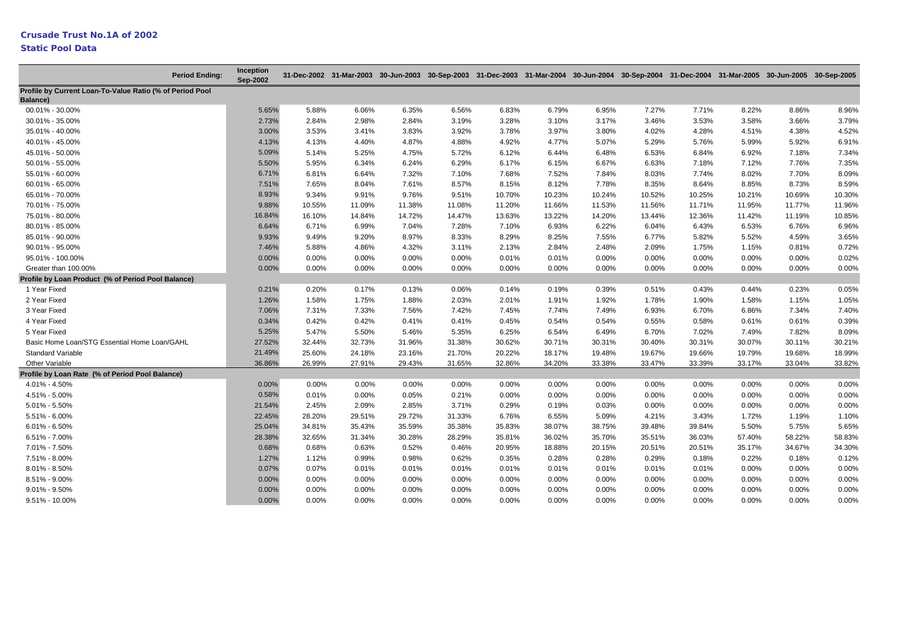|                                                                      | <b>Period Ending:</b> | Inception<br>Sep-2002 |        |          |          |        |        |          |        |        |          |        | 31-Dec-2002 31-Mar-2003 30-Jun-2003 30-Sep-2003 31-Dec-2003 31-Mar-2004 30-Jun-2004 30-Sep-2004 31-Dec-2004 31-Mar-2005 30-Jun-2005 30-Sep-2005 |        |
|----------------------------------------------------------------------|-----------------------|-----------------------|--------|----------|----------|--------|--------|----------|--------|--------|----------|--------|-------------------------------------------------------------------------------------------------------------------------------------------------|--------|
| Profile by Current Loan-To-Value Ratio (% of Period Pool<br>Balance) |                       |                       |        |          |          |        |        |          |        |        |          |        |                                                                                                                                                 |        |
| 00.01% - 30.00%                                                      |                       | 5.65%                 | 5.88%  | 6.06%    | 6.35%    | 6.56%  | 6.83%  | 6.79%    | 6.95%  | 7.27%  | 7.71%    | 8.22%  | 8.86%                                                                                                                                           | 8.96%  |
| 30.01% - 35.00%                                                      |                       | 2.73%                 | 2.84%  | 2.98%    | 2.84%    | 3.19%  | 3.28%  | 3.10%    | 3.17%  | 3.46%  | 3.53%    | 3.58%  | 3.66%                                                                                                                                           | 3.79%  |
| 35.01% - 40.00%                                                      |                       | 3.00%                 | 3.53%  | 3.41%    | 3.83%    | 3.92%  | 3.78%  | 3.97%    | 3.80%  | 4.02%  | 4.28%    | 4.51%  | 4.38%                                                                                                                                           | 4.52%  |
| 40.01% - 45.00%                                                      |                       | 4.13%                 | 4.13%  | 4.40%    | 4.87%    | 4.88%  | 4.92%  | 4.77%    | 5.07%  | 5.29%  | 5.76%    | 5.99%  | 5.92%                                                                                                                                           | 6.91%  |
| 45.01% - 50.00%                                                      |                       | 5.09%                 | 5.14%  | 5.25%    | 4.75%    | 5.72%  | 6.12%  | 6.44%    | 6.48%  | 6.53%  | 6.84%    | 6.92%  | 7.18%                                                                                                                                           | 7.34%  |
| 50.01% - 55.00%                                                      |                       | 5.50%                 | 5.95%  | 6.34%    | 6.24%    | 6.29%  | 6.17%  | 6.15%    | 6.67%  | 6.63%  | 7.18%    | 7.12%  | 7.76%                                                                                                                                           | 7.35%  |
| 55.01% - 60.00%                                                      |                       | 6.71%                 | 6.81%  | 6.64%    | 7.32%    | 7.10%  | 7.68%  | 7.52%    | 7.84%  | 8.03%  | 7.74%    | 8.02%  | 7.70%                                                                                                                                           | 8.09%  |
| 60.01% - 65.00%                                                      |                       | 7.51%                 | 7.65%  | 8.04%    | 7.61%    | 8.57%  | 8.15%  | 8.12%    | 7.78%  | 8.35%  | 8.64%    | 8.85%  | 8.73%                                                                                                                                           | 8.59%  |
| 65.01% - 70.00%                                                      |                       | 8.93%                 | 9.34%  | 9.91%    | 9.76%    | 9.51%  | 10.70% | 10.23%   | 10.24% | 10.52% | 10.25%   | 10.21% | 10.69%                                                                                                                                          | 10.30% |
| 70.01% - 75.00%                                                      |                       | 9.88%                 | 10.55% | 11.09%   | 11.38%   | 11.08% | 11.20% | 11.66%   | 11.53% | 11.56% | 11.71%   | 11.95% | 11.77%                                                                                                                                          | 11.96% |
| 75.01% - 80.00%                                                      |                       | 16.84%                | 16.10% | 14.84%   | 14.72%   | 14.47% | 13.63% | 13.22%   | 14.20% | 13.44% | 12.36%   | 11.42% | 11.19%                                                                                                                                          | 10.85% |
| 80.01% - 85.00%                                                      |                       | 6.64%                 | 6.71%  | 6.99%    | 7.04%    | 7.28%  | 7.10%  | 6.93%    | 6.22%  | 6.04%  | 6.43%    | 6.53%  | 6.76%                                                                                                                                           | 6.96%  |
| 85.01% - 90.00%                                                      |                       | 9.93%                 | 9.49%  | 9.20%    | 8.97%    | 8.33%  | 8.29%  | 8.25%    | 7.55%  | 6.77%  | 5.82%    | 5.52%  | 4.59%                                                                                                                                           | 3.65%  |
| 90.01% - 95.00%                                                      |                       | 7.46%                 | 5.88%  | 4.86%    | 4.32%    | 3.11%  | 2.13%  | 2.84%    | 2.48%  | 2.09%  | 1.75%    | 1.15%  | 0.81%                                                                                                                                           | 0.72%  |
| 95.01% - 100.00%                                                     |                       | 0.00%                 | 0.00%  | $0.00\%$ | $0.00\%$ | 0.00%  | 0.01%  | 0.01%    | 0.00%  | 0.00%  | $0.00\%$ | 0.00%  | 0.00%                                                                                                                                           | 0.02%  |
| Greater than 100.00%                                                 |                       | 0.00%                 | 0.00%  | 0.00%    | $0.00\%$ | 0.00%  | 0.00%  | 0.00%    | 0.00%  | 0.00%  | 0.00%    | 0.00%  | 0.00%                                                                                                                                           | 0.00%  |
| Profile by Loan Product (% of Period Pool Balance)                   |                       |                       |        |          |          |        |        |          |        |        |          |        |                                                                                                                                                 |        |
| 1 Year Fixed                                                         |                       | 0.21%                 | 0.20%  | 0.17%    | 0.13%    | 0.06%  | 0.14%  | 0.19%    | 0.39%  | 0.51%  | 0.43%    | 0.44%  | 0.23%                                                                                                                                           | 0.05%  |
| 2 Year Fixed                                                         |                       | 1.26%                 | 1.58%  | 1.75%    | 1.88%    | 2.03%  | 2.01%  | 1.91%    | 1.92%  | 1.78%  | 1.90%    | 1.58%  | 1.15%                                                                                                                                           | 1.05%  |
| 3 Year Fixed                                                         |                       | 7.06%                 | 7.31%  | 7.33%    | 7.56%    | 7.42%  | 7.45%  | 7.74%    | 7.49%  | 6.93%  | 6.70%    | 6.86%  | 7.34%                                                                                                                                           | 7.40%  |
| 4 Year Fixed                                                         |                       | 0.34%                 | 0.42%  | 0.42%    | 0.41%    | 0.41%  | 0.45%  | 0.54%    | 0.54%  | 0.55%  | 0.58%    | 0.61%  | 0.61%                                                                                                                                           | 0.39%  |
| 5 Year Fixed                                                         |                       | 5.25%                 | 5.47%  | 5.50%    | 5.46%    | 5.35%  | 6.25%  | 6.54%    | 6.49%  | 6.70%  | 7.02%    | 7.49%  | 7.82%                                                                                                                                           | 8.09%  |
| Basic Home Loan/STG Essential Home Loan/GAHL                         |                       | 27.52%                | 32.44% | 32.73%   | 31.96%   | 31.38% | 30.62% | 30.71%   | 30.31% | 30.40% | 30.31%   | 30.07% | 30.11%                                                                                                                                          | 30.21% |
| <b>Standard Variable</b>                                             |                       | 21.49%                | 25.60% | 24.18%   | 23.16%   | 21.70% | 20.22% | 18.17%   | 19.48% | 19.67% | 19.66%   | 19.79% | 19.68%                                                                                                                                          | 18.99% |
| Other Variable                                                       |                       | 36.86%                | 26.99% | 27.91%   | 29.43%   | 31.65% | 32.86% | 34.20%   | 33.38% | 33.47% | 33.39%   | 33.17% | 33.04%                                                                                                                                          | 33.82% |
| Profile by Loan Rate (% of Period Pool Balance)                      |                       |                       |        |          |          |        |        |          |        |        |          |        |                                                                                                                                                 |        |
| 4.01% - 4.50%                                                        |                       | 0.00%                 | 0.00%  | 0.00%    | 0.00%    | 0.00%  | 0.00%  | 0.00%    | 0.00%  | 0.00%  | 0.00%    | 0.00%  | 0.00%                                                                                                                                           | 0.00%  |
| 4.51% - 5.00%                                                        |                       | 0.58%                 | 0.01%  | $0.00\%$ | 0.05%    | 0.21%  | 0.00%  | $0.00\%$ | 0.00%  | 0.00%  | $0.00\%$ | 0.00%  | 0.00%                                                                                                                                           | 0.00%  |
| $5.01\% - 5.50\%$                                                    |                       | 21.54%                | 2.45%  | 2.09%    | 2.85%    | 3.71%  | 0.29%  | 0.19%    | 0.03%  | 0.00%  | 0.00%    | 0.00%  | 0.00%                                                                                                                                           | 0.00%  |
| 5.51% - 6.00%                                                        |                       | 22.45%                | 28.20% | 29.51%   | 29.72%   | 31.33% | 6.76%  | 6.55%    | 5.09%  | 4.21%  | 3.43%    | 1.72%  | 1.19%                                                                                                                                           | 1.10%  |
| $6.01\% - 6.50\%$                                                    |                       | 25.04%                | 34.81% | 35.43%   | 35.59%   | 35.38% | 35.83% | 38.07%   | 38.75% | 39.48% | 39.84%   | 5.50%  | 5.75%                                                                                                                                           | 5.65%  |
| $6.51\% - 7.00\%$                                                    |                       | 28.38%                | 32.65% | 31.34%   | 30.28%   | 28.29% | 35.81% | 36.02%   | 35.70% | 35.51% | 36.03%   | 57.40% | 58.22%                                                                                                                                          | 58.83% |
| 7.01% - 7.50%                                                        |                       | 0.68%                 | 0.68%  | 0.63%    | 0.52%    | 0.46%  | 20.95% | 18.88%   | 20.15% | 20.51% | 20.51%   | 35.17% | 34.67%                                                                                                                                          | 34.30% |
| 7.51% - 8.00%                                                        |                       | 1.27%                 | 1.12%  | 0.99%    | 0.98%    | 0.62%  | 0.35%  | 0.28%    | 0.28%  | 0.29%  | 0.18%    | 0.22%  | 0.18%                                                                                                                                           | 0.12%  |
| 8.01% - 8.50%                                                        |                       | 0.07%                 | 0.07%  | 0.01%    | 0.01%    | 0.01%  | 0.01%  | 0.01%    | 0.01%  | 0.01%  | 0.01%    | 0.00%  | 0.00%                                                                                                                                           | 0.00%  |
| 8.51% - 9.00%                                                        |                       | 0.00%                 | 0.00%  | 0.00%    | $0.00\%$ | 0.00%  | 0.00%  | 0.00%    | 0.00%  | 0.00%  | 0.00%    | 0.00%  | 0.00%                                                                                                                                           | 0.00%  |
| $9.01\% - 9.50\%$                                                    |                       | 0.00%                 | 0.00%  | $0.00\%$ | $0.00\%$ | 0.00%  | 0.00%  | 0.00%    | 0.00%  | 0.00%  | $0.00\%$ | 0.00%  | 0.00%                                                                                                                                           | 0.00%  |
| 9.51% - 10.00%                                                       |                       | 0.00%                 | 0.00%  | 0.00%    | 0.00%    | 0.00%  | 0.00%  | 0.00%    | 0.00%  | 0.00%  | 0.00%    | 0.00%  | 0.00%                                                                                                                                           | 0.00%  |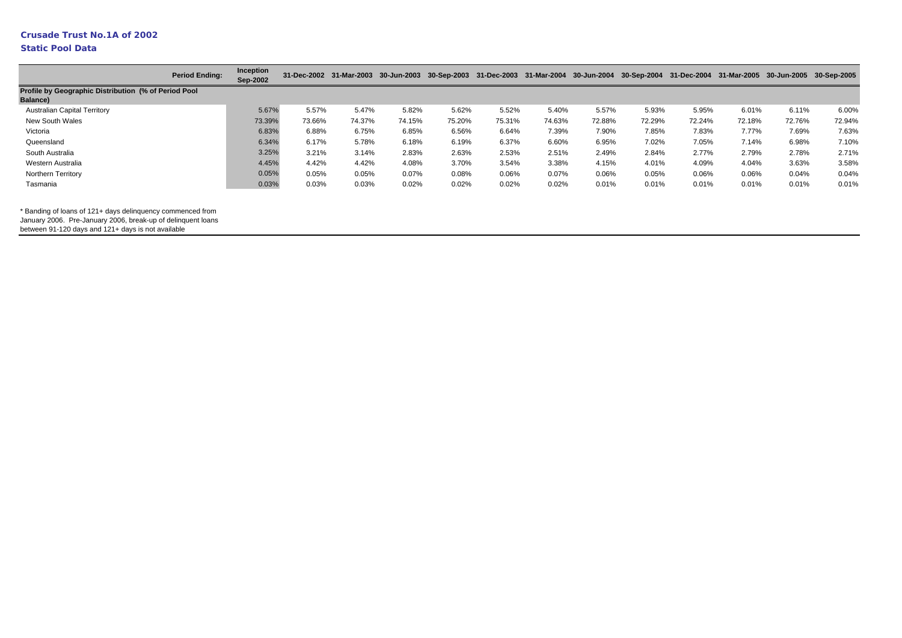### **Static Pool Data**

|                                                      | <b>Period Ending:</b> | Inception<br>Sep-2002 |        |        |        |        |        | 31-Dec-2002 31-Mar-2003 30-Jun-2003 30-Sep-2003 31-Dec-2003 31-Mar-2004 30-Jun-2004 30-Sep-2004 31-Dec-2004 31-Mar-2005 30-Jun-2005 30-Sep-2005 |        |        |        |        |        |        |
|------------------------------------------------------|-----------------------|-----------------------|--------|--------|--------|--------|--------|-------------------------------------------------------------------------------------------------------------------------------------------------|--------|--------|--------|--------|--------|--------|
| Profile by Geographic Distribution (% of Period Pool |                       |                       |        |        |        |        |        |                                                                                                                                                 |        |        |        |        |        |        |
| <b>Balance)</b>                                      |                       |                       |        |        |        |        |        |                                                                                                                                                 |        |        |        |        |        |        |
| <b>Australian Capital Territory</b>                  |                       | 5.67%                 | 5.57%  | 5.47%  | 5.82%  | 5.62%  | 5.52%  | 5.40%                                                                                                                                           | 5.57%  | 5.93%  | 5.95%  | 6.01%  | 6.11%  | 6.00%  |
| New South Wales                                      |                       | 73.39%                | 73.66% | 74.37% | 74.15% | 75.20% | 75.31% | 74.63%                                                                                                                                          | 72.88% | 72.29% | 72.24% | 72.18% | 72.76% | 72.94% |
| Victoria                                             |                       | 6.83%                 | 6.88%  | 6.75%  | 6.85%  | 6.56%  | 6.64%  | 7.39%                                                                                                                                           | 7.90%  | 7.85%  | 7.83%  | 7.77%  | 7.69%  | 7.63%  |
| Queensland                                           |                       | 6.34%                 | 6.17%  | 5.78%  | 6.18%  | 6.19%  | 6.37%  | 6.60%                                                                                                                                           | 6.95%  | 7.02%  | 7.05%  | 7.14%  | 6.98%  | 7.10%  |
| South Australia                                      |                       | 3.25%                 | 3.21%  | 3.14%  | 2.83%  | 2.63%  | 2.53%  | 2.51%                                                                                                                                           | 2.49%  | 2.84%  | 2.77%  | 2.79%  | 2.78%  | 2.71%  |
| Western Australia                                    |                       | 4.45%                 | 4.42%  | 4.42%  | 4.08%  | 3.70%  | 3.54%  | 3.38%                                                                                                                                           | 4.15%  | 4.01%  | 4.09%  | 4.04%  | 3.63%  | 3.58%  |
| Northern Territory                                   |                       | 0.05%                 | 0.05%  | 0.05%  | 0.07%  | 0.08%  | 0.06%  | 0.07%                                                                                                                                           | 0.06%  | 0.05%  | 0.06%  | 0.06%  | 0.04%  | 0.04%  |
| Tasmania                                             |                       | 0.03%                 | 0.03%  | 0.03%  | 0.02%  | 0.02%  | 0.02%  | 0.02%                                                                                                                                           | 0.01%  | 0.01%  | 0.01%  | 0.01%  | 0.01%  | 0.01%  |

\* Banding of loans of 121+ days delinquency commenced from

January 2006. Pre-January 2006, break-up of delinquent loans

between 91-120 days and 121+ days is not available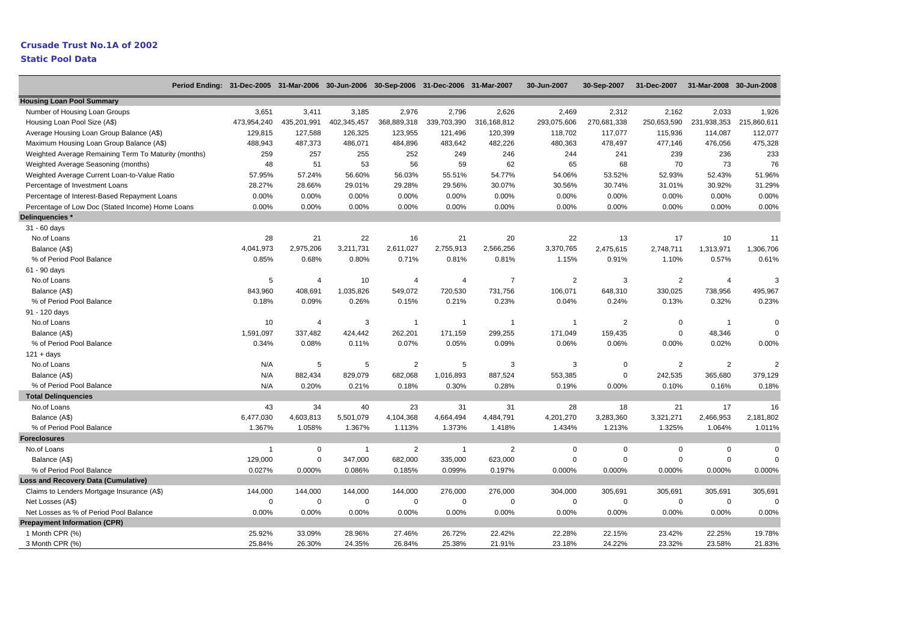|                                                      | Period Ending: 31-Dec-2005 31-Mar-2006 30-Jun-2006 30-Sep-2006 31-Dec-2006 31-Mar-2007 |                |                |                         |                |                | 30-Jun-2007  | 30-Sep-2007    | 31-Dec-2007    | 31-Mar-2008 30-Jun-2008 |                |
|------------------------------------------------------|----------------------------------------------------------------------------------------|----------------|----------------|-------------------------|----------------|----------------|--------------|----------------|----------------|-------------------------|----------------|
| <b>Housing Loan Pool Summary</b>                     |                                                                                        |                |                |                         |                |                |              |                |                |                         |                |
| Number of Housing Loan Groups                        | 3,651                                                                                  | 3,411          | 3,185          | 2,976                   | 2,796          | 2,626          | 2,469        | 2,312          | 2,162          | 2,033                   | 1,926          |
| Housing Loan Pool Size (A\$)                         | 473,954,240                                                                            | 435,201,991    | 402,345,457    | 368,889,318             | 339,703,390    | 316,168,812    | 293,075,606  | 270,681,338    | 250,653,590    | 231,938,353             | 215,860,611    |
| Average Housing Loan Group Balance (A\$)             | 129,815                                                                                | 127,588        | 126,325        | 123,955                 | 121,496        | 120,399        | 118,702      | 117,077        | 115,936        | 114,087                 | 112,077        |
| Maximum Housing Loan Group Balance (A\$)             | 488,943                                                                                | 487,373        | 486,071        | 484,896                 | 483,642        | 482,226        | 480,363      | 478,497        | 477,146        | 476,056                 | 475,328        |
| Weighted Average Remaining Term To Maturity (months) | 259                                                                                    | 257            | 255            | 252                     | 249            | 246            | 244          | 241            | 239            | 236                     | 233            |
| Weighted Average Seasoning (months)                  | 48                                                                                     | 51             | 53             | 56                      | 59             | 62             | 65           | 68             | 70             | 73                      | 76             |
| Weighted Average Current Loan-to-Value Ratio         | 57.95%                                                                                 | 57.24%         | 56.60%         | 56.03%                  | 55.51%         | 54.77%         | 54.06%       | 53.52%         | 52.93%         | 52.43%                  | 51.96%         |
| Percentage of Investment Loans                       | 28.27%                                                                                 | 28.66%         | 29.01%         | 29.28%                  | 29.56%         | 30.07%         | 30.56%       | 30.74%         | 31.01%         | 30.92%                  | 31.29%         |
| Percentage of Interest-Based Repayment Loans         | 0.00%                                                                                  | 0.00%          | 0.00%          | 0.00%                   | 0.00%          | 0.00%          | 0.00%        | 0.00%          | 0.00%          | 0.00%                   | 0.00%          |
| Percentage of Low Doc (Stated Income) Home Loans     | 0.00%                                                                                  | 0.00%          | 0.00%          | 0.00%                   | 0.00%          | 0.00%          | 0.00%        | 0.00%          | 0.00%          | 0.00%                   | 0.00%          |
| Delinquencies *                                      |                                                                                        |                |                |                         |                |                |              |                |                |                         |                |
| 31 - 60 days                                         |                                                                                        |                |                |                         |                |                |              |                |                |                         |                |
| No.of Loans                                          | 28                                                                                     | 21             | 22             | 16                      | 21             | 20             | 22           | 13             | 17             | 10                      | 11             |
| Balance (A\$)                                        | 4,041,973                                                                              | 2,975,206      | 3,211,731      | 2,611,027               | 2,755,913      | 2,566,256      | 3,370,765    | 2,475,615      | 2,748,711      | 1,313,971               | 1,306,706      |
| % of Period Pool Balance                             | 0.85%                                                                                  | 0.68%          | 0.80%          | 0.71%                   | 0.81%          | 0.81%          | 1.15%        | 0.91%          | 1.10%          | 0.57%                   | 0.61%          |
| 61 - 90 days                                         |                                                                                        |                |                |                         |                |                |              |                |                |                         |                |
| No.of Loans                                          | 5                                                                                      | $\overline{4}$ | 10             | $\overline{4}$          | $\overline{4}$ | $\overline{7}$ | 2            | 3              | 2              | $\overline{4}$          | 3              |
| Balance (A\$)                                        | 843,960                                                                                | 408,691        | 1,035,826      | 549,072                 | 720,530        | 731,756        | 106,071      | 648,310        | 330,025        | 738,956                 | 495,967        |
| % of Period Pool Balance                             | 0.18%                                                                                  | 0.09%          | 0.26%          | 0.15%                   | 0.21%          | 0.23%          | 0.04%        | 0.24%          | 0.13%          | 0.32%                   | 0.23%          |
| 91 - 120 days                                        |                                                                                        |                |                |                         |                |                |              |                |                |                         |                |
| No.of Loans                                          | 10                                                                                     | $\overline{4}$ | 3              | $\overline{\mathbf{1}}$ | $\overline{1}$ | -1             | -1           | $\overline{2}$ | $\Omega$       | $\overline{1}$          | $\Omega$       |
| Balance (A\$)                                        | 1,591,097                                                                              | 337,482        | 424,442        | 262,201                 | 171,159        | 299,255        | 171,049      | 159,435        | $\mathsf 0$    | 48,346                  | $\mathsf 0$    |
| % of Period Pool Balance                             | 0.34%                                                                                  | 0.08%          | 0.11%          | 0.07%                   | 0.05%          | 0.09%          | 0.06%        | 0.06%          | 0.00%          | 0.02%                   | 0.00%          |
| $121 + days$                                         |                                                                                        |                |                |                         |                |                |              |                |                |                         |                |
| No.of Loans                                          | N/A                                                                                    | $\sqrt{5}$     | 5              | $\overline{2}$          | 5              | 3              | $\mathbf{3}$ | $\mathsf 0$    | $\overline{2}$ | $\overline{2}$          | $\overline{2}$ |
| Balance (A\$)                                        | N/A                                                                                    | 882,434        | 829,079        | 682,068                 | 1,016,893      | 887,524        | 553,385      | $\mathsf 0$    | 242,535        | 365,680                 | 379,129        |
| % of Period Pool Balance                             | N/A                                                                                    | 0.20%          | 0.21%          | 0.18%                   | 0.30%          | 0.28%          | 0.19%        | 0.00%          | 0.10%          | 0.16%                   | 0.18%          |
| <b>Total Delinguencies</b>                           |                                                                                        |                |                |                         |                |                |              |                |                |                         |                |
| No.of Loans                                          | 43                                                                                     | 34             | 40             | 23                      | 31             | 31             | 28           | 18             | 21             | 17                      | 16             |
| Balance (A\$)                                        | 6,477,030                                                                              | 4,603,813      | 5,501,079      | 4,104,368               | 4,664,494      | 4,484,791      | 4,201,270    | 3,283,360      | 3,321,271      | 2,466,953               | 2,181,802      |
| % of Period Pool Balance                             | 1.367%                                                                                 | 1.058%         | 1.367%         | 1.113%                  | 1.373%         | 1.418%         | 1.434%       | 1.213%         | 1.325%         | 1.064%                  | 1.011%         |
| <b>Foreclosures</b>                                  |                                                                                        |                |                |                         |                |                |              |                |                |                         |                |
| No.of Loans                                          | $\overline{1}$                                                                         | $\mathbf 0$    | $\overline{1}$ | $\overline{2}$          | $\overline{1}$ | $\overline{2}$ | $\mathbf 0$  | $\mathbf 0$    | $\mathbf 0$    | 0                       | $\Omega$       |
| Balance (A\$)                                        | 129,000                                                                                | $\mathbf 0$    | 347,000        | 682,000                 | 335,000        | 623,000        | $\mathsf 0$  | $\Omega$       | $\Omega$       | $\Omega$                | $\mathbf 0$    |
| % of Period Pool Balance                             | 0.027%                                                                                 | 0.000%         | 0.086%         | 0.185%                  | 0.099%         | 0.197%         | 0.000%       | 0.000%         | 0.000%         | 0.000%                  | 0.000%         |
| <b>Loss and Recovery Data (Cumulative)</b>           |                                                                                        |                |                |                         |                |                |              |                |                |                         |                |
| Claims to Lenders Mortgage Insurance (A\$)           | 144,000                                                                                | 144,000        | 144,000        | 144,000                 | 276,000        | 276,000        | 304,000      | 305,691        | 305,691        | 305,691                 | 305,691        |
| Net Losses (A\$)                                     | $\mathbf 0$                                                                            | $\mathbf 0$    | $\Omega$       | $\mathbf 0$             | $\mathsf 0$    | $\mathbf 0$    | $\mathsf 0$  | $\mathsf 0$    | $\mathbf 0$    | $\mathbf 0$             | $\Omega$       |
| Net Losses as % of Period Pool Balance               | 0.00%                                                                                  | 0.00%          | 0.00%          | 0.00%                   | 0.00%          | 0.00%          | 0.00%        | 0.00%          | 0.00%          | 0.00%                   | 0.00%          |
| <b>Prepayment Information (CPR)</b>                  |                                                                                        |                |                |                         |                |                |              |                |                |                         |                |
| 1 Month CPR (%)                                      | 25.92%                                                                                 | 33.09%         | 28.96%         | 27.46%                  | 26.72%         | 22.42%         | 22.28%       | 22.15%         | 23.42%         | 22.25%                  | 19.78%         |
| 3 Month CPR (%)                                      | 25.84%                                                                                 | 26.30%         | 24.35%         | 26.84%                  | 25.38%         | 21.91%         | 23.18%       | 24.22%         | 23.32%         | 23.58%                  | 21.83%         |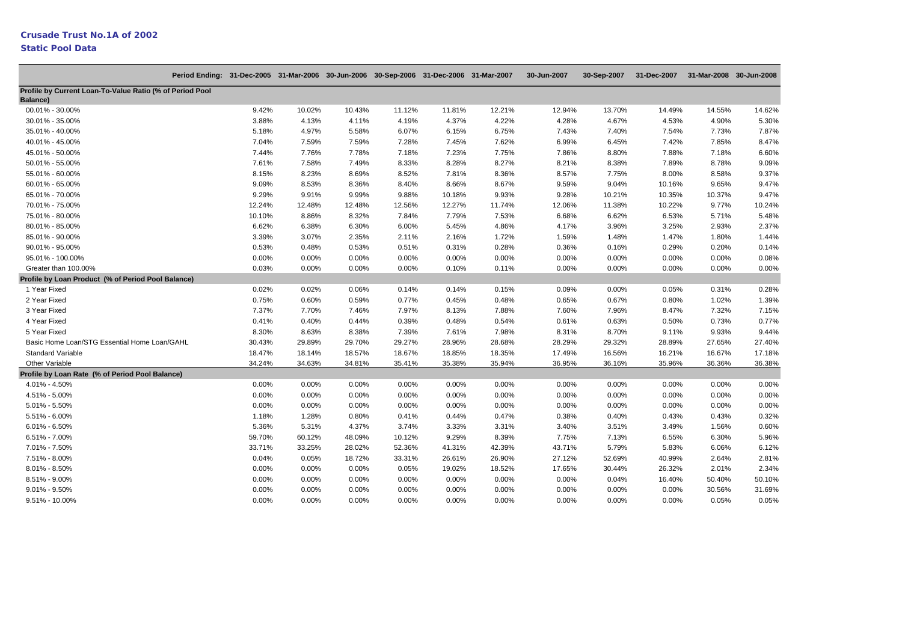|                                                                      | Period Ending: 31-Dec-2005 31-Mar-2006 30-Jun-2006 30-Sep-2006 31-Dec-2006 31-Mar-2007 |        |        |          |        |        |        | 30-Jun-2007 | 30-Sep-2007 | 31-Dec-2007 31-Mar-2008 30-Jun-2008 |        |        |
|----------------------------------------------------------------------|----------------------------------------------------------------------------------------|--------|--------|----------|--------|--------|--------|-------------|-------------|-------------------------------------|--------|--------|
| Profile by Current Loan-To-Value Ratio (% of Period Pool<br>Balance) |                                                                                        |        |        |          |        |        |        |             |             |                                     |        |        |
| 00.01% - 30.00%                                                      |                                                                                        | 9.42%  | 10.02% | 10.43%   | 11.12% | 11.81% | 12.21% | 12.94%      | 13.70%      | 14.49%                              | 14.55% | 14.62% |
| 30.01% - 35.00%                                                      |                                                                                        | 3.88%  | 4.13%  | 4.11%    | 4.19%  | 4.37%  | 4.22%  | 4.28%       | 4.67%       | 4.53%                               | 4.90%  | 5.30%  |
| 35.01% - 40.00%                                                      |                                                                                        | 5.18%  | 4.97%  | 5.58%    | 6.07%  | 6.15%  | 6.75%  | 7.43%       | 7.40%       | 7.54%                               | 7.73%  | 7.87%  |
| 40.01% - 45.00%                                                      |                                                                                        | 7.04%  | 7.59%  | 7.59%    | 7.28%  | 7.45%  | 7.62%  | 6.99%       | 6.45%       | 7.42%                               | 7.85%  | 8.47%  |
| 45.01% - 50.00%                                                      |                                                                                        | 7.44%  | 7.76%  | 7.78%    | 7.18%  | 7.23%  | 7.75%  | 7.86%       | 8.80%       | 7.88%                               | 7.18%  | 6.60%  |
| 50.01% - 55.00%                                                      |                                                                                        | 7.61%  | 7.58%  | 7.49%    | 8.33%  | 8.28%  | 8.27%  | 8.21%       | 8.38%       | 7.89%                               | 8.78%  | 9.09%  |
| 55.01% - 60.00%                                                      |                                                                                        | 8.15%  | 8.23%  | 8.69%    | 8.52%  | 7.81%  | 8.36%  | 8.57%       | 7.75%       | 8.00%                               | 8.58%  | 9.37%  |
| 60.01% - 65.00%                                                      |                                                                                        | 9.09%  | 8.53%  | 8.36%    | 8.40%  | 8.66%  | 8.67%  | 9.59%       | 9.04%       | 10.16%                              | 9.65%  | 9.47%  |
| 65.01% - 70.00%                                                      |                                                                                        | 9.29%  | 9.91%  | 9.99%    | 9.88%  | 10.18% | 9.93%  | 9.28%       | 10.21%      | 10.35%                              | 10.37% | 9.47%  |
| 70.01% - 75.00%                                                      |                                                                                        | 12.24% | 12.48% | 12.48%   | 12.56% | 12.27% | 11.74% | 12.06%      | 11.38%      | 10.22%                              | 9.77%  | 10.24% |
| 75.01% - 80.00%                                                      |                                                                                        | 10.10% | 8.86%  | 8.32%    | 7.84%  | 7.79%  | 7.53%  | 6.68%       | 6.62%       | 6.53%                               | 5.71%  | 5.48%  |
| 80.01% - 85.00%                                                      |                                                                                        | 6.62%  | 6.38%  | 6.30%    | 6.00%  | 5.45%  | 4.86%  | 4.17%       | 3.96%       | 3.25%                               | 2.93%  | 2.37%  |
| 85.01% - 90.00%                                                      |                                                                                        | 3.39%  | 3.07%  | 2.35%    | 2.11%  | 2.16%  | 1.72%  | 1.59%       | 1.48%       | 1.47%                               | 1.80%  | 1.44%  |
| 90.01% - 95.00%                                                      |                                                                                        | 0.53%  | 0.48%  | 0.53%    | 0.51%  | 0.31%  | 0.28%  | 0.36%       | 0.16%       | 0.29%                               | 0.20%  | 0.14%  |
| 95.01% - 100.00%                                                     |                                                                                        | 0.00%  | 0.00%  | 0.00%    | 0.00%  | 0.00%  | 0.00%  | 0.00%       | 0.00%       | 0.00%                               | 0.00%  | 0.08%  |
| Greater than 100.00%                                                 |                                                                                        | 0.03%  | 0.00%  | 0.00%    | 0.00%  | 0.10%  | 0.11%  | 0.00%       | 0.00%       | 0.00%                               | 0.00%  | 0.00%  |
| Profile by Loan Product (% of Period Pool Balance)                   |                                                                                        |        |        |          |        |        |        |             |             |                                     |        |        |
| 1 Year Fixed                                                         |                                                                                        | 0.02%  | 0.02%  | 0.06%    | 0.14%  | 0.14%  | 0.15%  | 0.09%       | 0.00%       | 0.05%                               | 0.31%  | 0.28%  |
| 2 Year Fixed                                                         |                                                                                        | 0.75%  | 0.60%  | 0.59%    | 0.77%  | 0.45%  | 0.48%  | 0.65%       | 0.67%       | 0.80%                               | 1.02%  | 1.39%  |
| 3 Year Fixed                                                         |                                                                                        | 7.37%  | 7.70%  | 7.46%    | 7.97%  | 8.13%  | 7.88%  | 7.60%       | 7.96%       | 8.47%                               | 7.32%  | 7.15%  |
| 4 Year Fixed                                                         |                                                                                        | 0.41%  | 0.40%  | 0.44%    | 0.39%  | 0.48%  | 0.54%  | 0.61%       | 0.63%       | 0.50%                               | 0.73%  | 0.77%  |
| 5 Year Fixed                                                         |                                                                                        | 8.30%  | 8.63%  | 8.38%    | 7.39%  | 7.61%  | 7.98%  | 8.31%       | 8.70%       | 9.11%                               | 9.93%  | 9.44%  |
| Basic Home Loan/STG Essential Home Loan/GAHL                         |                                                                                        | 30.43% | 29.89% | 29.70%   | 29.27% | 28.96% | 28.68% | 28.29%      | 29.32%      | 28.89%                              | 27.65% | 27.40% |
| <b>Standard Variable</b>                                             |                                                                                        | 18.47% | 18.14% | 18.57%   | 18.67% | 18.85% | 18.35% | 17.49%      | 16.56%      | 16.21%                              | 16.67% | 17.18% |
| Other Variable                                                       |                                                                                        | 34.24% | 34.63% | 34.81%   | 35.41% | 35.38% | 35.94% | 36.95%      | 36.16%      | 35.96%                              | 36.36% | 36.38% |
| Profile by Loan Rate (% of Period Pool Balance)                      |                                                                                        |        |        |          |        |        |        |             |             |                                     |        |        |
| 4.01% - 4.50%                                                        |                                                                                        | 0.00%  | 0.00%  | 0.00%    | 0.00%  | 0.00%  | 0.00%  | 0.00%       | 0.00%       | 0.00%                               | 0.00%  | 0.00%  |
| 4.51% - 5.00%                                                        |                                                                                        | 0.00%  | 0.00%  | 0.00%    | 0.00%  | 0.00%  | 0.00%  | 0.00%       | 0.00%       | 0.00%                               | 0.00%  | 0.00%  |
| $5.01\% - 5.50\%$                                                    |                                                                                        | 0.00%  | 0.00%  | 0.00%    | 0.00%  | 0.00%  | 0.00%  | 0.00%       | 0.00%       | 0.00%                               | 0.00%  | 0.00%  |
| $5.51\% - 6.00\%$                                                    |                                                                                        | 1.18%  | 1.28%  | 0.80%    | 0.41%  | 0.44%  | 0.47%  | 0.38%       | 0.40%       | 0.43%                               | 0.43%  | 0.32%  |
| $6.01\% - 6.50\%$                                                    |                                                                                        | 5.36%  | 5.31%  | 4.37%    | 3.74%  | 3.33%  | 3.31%  | 3.40%       | 3.51%       | 3.49%                               | 1.56%  | 0.60%  |
| $6.51\% - 7.00\%$                                                    |                                                                                        | 59.70% | 60.12% | 48.09%   | 10.12% | 9.29%  | 8.39%  | 7.75%       | 7.13%       | 6.55%                               | 6.30%  | 5.96%  |
| 7.01% - 7.50%                                                        |                                                                                        | 33.71% | 33.25% | 28.02%   | 52.36% | 41.31% | 42.39% | 43.71%      | 5.79%       | 5.83%                               | 6.06%  | 6.12%  |
| 7.51% - 8.00%                                                        |                                                                                        | 0.04%  | 0.05%  | 18.72%   | 33.31% | 26.61% | 26.90% | 27.12%      | 52.69%      | 40.99%                              | 2.64%  | 2.81%  |
| $8.01\% - 8.50\%$                                                    |                                                                                        | 0.00%  | 0.00%  | 0.00%    | 0.05%  | 19.02% | 18.52% | 17.65%      | 30.44%      | 26.32%                              | 2.01%  | 2.34%  |
| 8.51% - 9.00%                                                        |                                                                                        | 0.00%  | 0.00%  | 0.00%    | 0.00%  | 0.00%  | 0.00%  | 0.00%       | 0.04%       | 16.40%                              | 50.40% | 50.10% |
| $9.01\% - 9.50\%$                                                    |                                                                                        | 0.00%  | 0.00%  | $0.00\%$ | 0.00%  | 0.00%  | 0.00%  | 0.00%       | 0.00%       | 0.00%                               | 30.56% | 31.69% |
| 9.51% - 10.00%                                                       |                                                                                        | 0.00%  | 0.00%  | 0.00%    | 0.00%  | 0.00%  | 0.00%  | 0.00%       | 0.00%       | 0.00%                               | 0.05%  | 0.05%  |